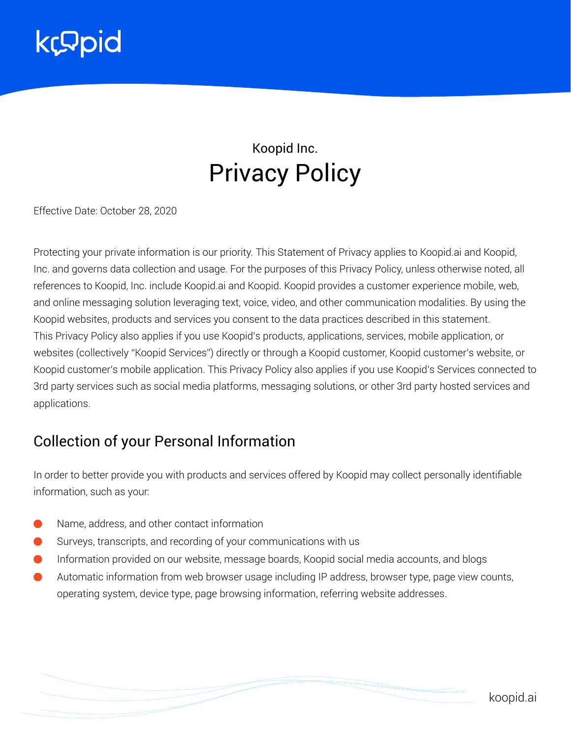

### Koopid Inc. Privacy Policy

Effective Date: October 28, 2020

Protecting your private information is our priority. This Statement of Privacy applies to Koopid.ai and Koopid, Inc. and governs data collection and usage. For the purposes of this Privacy Policy, unless otherwise noted, all references to Koopid, Inc. include Koopid.ai and Koopid. Koopid provides a customer experience mobile, web, and online messaging solution leveraging text, voice, video, and other communication modalities. By using the Koopid websites, products and services you consent to the data practices described in this statement. This Privacy Policy also applies if you use Koopid's products, applications, services, mobile application, or websites (collectively "Koopid Services") directly or through a Koopid customer, Koopid customer's website, or Koopid customer's mobile application. This Privacy Policy also applies if you use Koopid's Services connected to 3rd party services such as social media platforms, messaging solutions, or other 3rd party hosted services and applications.

#### Collection of your Personal Information

In order to better provide you with products and services offered by Koopid may collect personally identifiable information, such as your:

- Name, address, and other contact information
- Surveys, transcripts, and recording of your communications with us
- Information provided on our website, message boards, Koopid social media accounts, and blogs
- Automatic information from web browser usage including IP address, browser type, page view counts, operating system, device type, page browsing information, referring website addresses.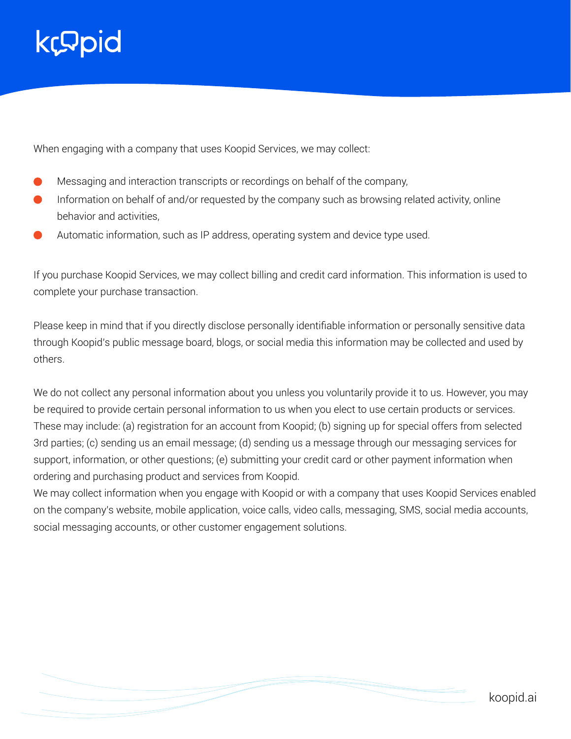### kropid

When engaging with a company that uses Koopid Services, we may collect:

- Messaging and interaction transcripts or recordings on behalf of the company,
- Information on behalf of and/or requested by the company such as browsing related activity, online behavior and activities,
- Automatic information, such as IP address, operating system and device type used.

If you purchase Koopid Services, we may collect billing and credit card information. This information is used to complete your purchase transaction.

Please keep in mind that if you directly disclose personally identifiable information or personally sensitive data through Koopid's public message board, blogs, or social media this information may be collected and used by others.

We do not collect any personal information about you unless you voluntarily provide it to us. However, you may be required to provide certain personal information to us when you elect to use certain products or services. These may include: (a) registration for an account from Koopid; (b) signing up for special offers from selected 3rd parties; (c) sending us an email message; (d) sending us a message through our messaging services for support, information, or other questions; (e) submitting your credit card or other payment information when ordering and purchasing product and services from Koopid.

We may collect information when you engage with Koopid or with a company that uses Koopid Services enabled on the company's website, mobile application, voice calls, video calls, messaging, SMS, social media accounts, social messaging accounts, or other customer engagement solutions.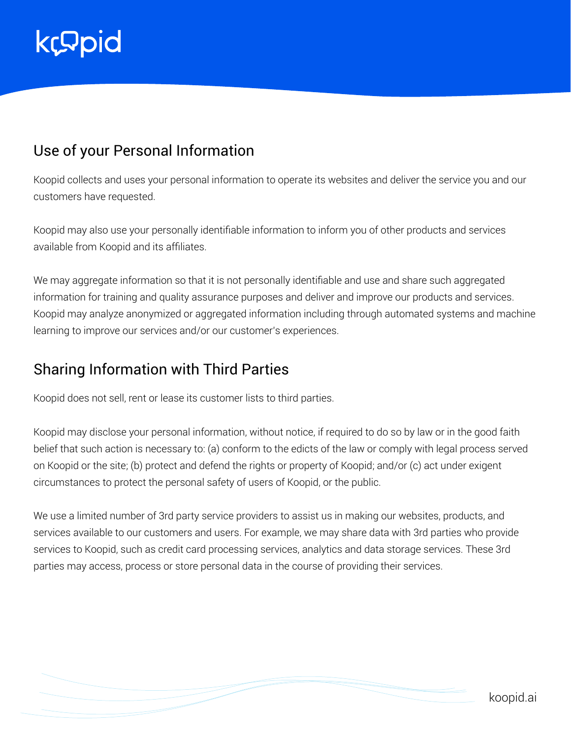# **kcopid**

### Use of your Personal Information

Koopid collects and uses your personal information to operate its websites and deliver the service you and our customers have requested.

Koopid may also use your personally identifiable information to inform you of other products and services available from Koopid and its affiliates.

We may aggregate information so that it is not personally identifiable and use and share such aggregated information for training and quality assurance purposes and deliver and improve our products and services. Koopid may analyze anonymized or aggregated information including through automated systems and machine learning to improve our services and/or our customer's experiences.

#### Sharing Information with Third Parties

Koopid does not sell, rent or lease its customer lists to third parties.

Koopid may disclose your personal information, without notice, if required to do so by law or in the good faith belief that such action is necessary to: (a) conform to the edicts of the law or comply with legal process served on Koopid or the site; (b) protect and defend the rights or property of Koopid; and/or (c) act under exigent circumstances to protect the personal safety of users of Koopid, or the public.

We use a limited number of 3rd party service providers to assist us in making our websites, products, and services available to our customers and users. For example, we may share data with 3rd parties who provide services to Koopid, such as credit card processing services, analytics and data storage services. These 3rd parties may access, process or store personal data in the course of providing their services.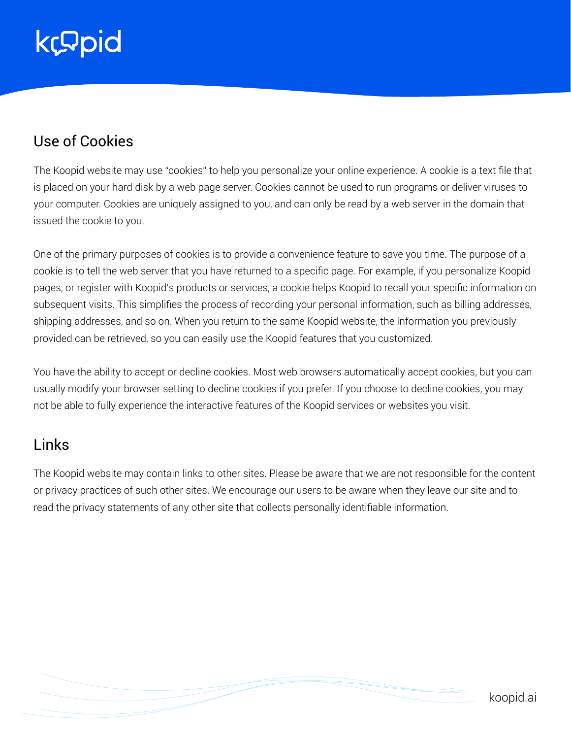# kropid

#### Use of Cookies

The Koopid website may use "cookies" to help you personalize your online experience. A cookie is a text file that is placed on your hard disk by a web page server. Cookies cannot be used to run programs or deliver viruses to your computer. Cookies are uniquely assigned to you, and can only be read by a web server in the domain that issued the cookie to you.

One of the primary purposes of cookies is to provide a convenience feature to save you time. The purpose of a cookie is to tell the web server that you have returned to a specific page. For example, if you personalize Koopid pages, or register with Koopid's products or services, a cookie helps Koopid to recall your specific information on subsequent visits. This simplifies the process of recording your personal information, such as billing addresses, shipping addresses, and so on. When you return to the same Koopid website, the information you previously provided can be retrieved, so you can easily use the Koopid features that you customized.

You have the ability to accept or decline cookies. Most web browsers automatically accept cookies, but you can usually modify your browser setting to decline cookies if you prefer. If you choose to decline cookies, you may not be able to fully experience the interactive features of the Koopid services or websites you visit.

#### Links

The Koopid website may contain links to other sites. Please be aware that we are not responsible for the content or privacy practices of such other sites. We encourage our users to be aware when they leave our site and to read the privacy statements of any other site that collects personally identifiable information.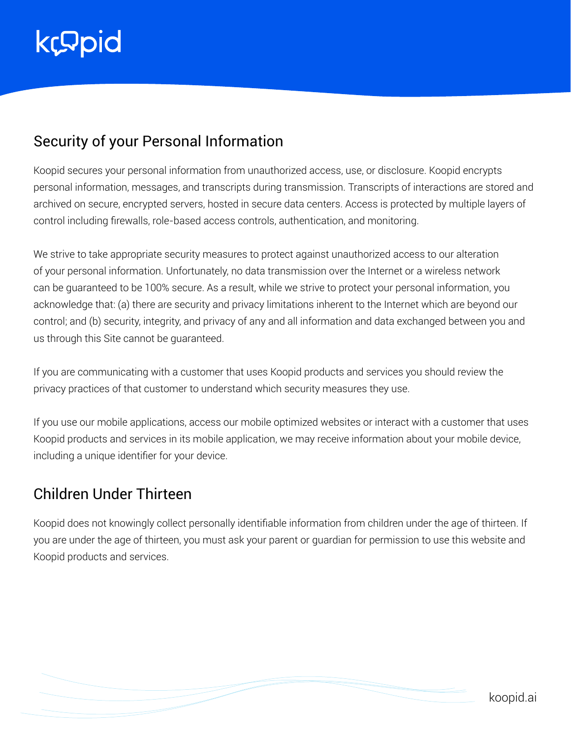# kropid

### Security of your Personal Information

Koopid secures your personal information from unauthorized access, use, or disclosure. Koopid encrypts personal information, messages, and transcripts during transmission. Transcripts of interactions are stored and archived on secure, encrypted servers, hosted in secure data centers. Access is protected by multiple layers of control including firewalls, role-based access controls, authentication, and monitoring.

We strive to take appropriate security measures to protect against unauthorized access to our alteration of your personal information. Unfortunately, no data transmission over the Internet or a wireless network can be guaranteed to be 100% secure. As a result, while we strive to protect your personal information, you acknowledge that: (a) there are security and privacy limitations inherent to the Internet which are beyond our control; and (b) security, integrity, and privacy of any and all information and data exchanged between you and us through this Site cannot be guaranteed.

If you are communicating with a customer that uses Koopid products and services you should review the privacy practices of that customer to understand which security measures they use.

If you use our mobile applications, access our mobile optimized websites or interact with a customer that uses Koopid products and services in its mobile application, we may receive information about your mobile device, including a unique identifier for your device.

#### Children Under Thirteen

Koopid does not knowingly collect personally identifiable information from children under the age of thirteen. If you are under the age of thirteen, you must ask your parent or guardian for permission to use this website and Koopid products and services.